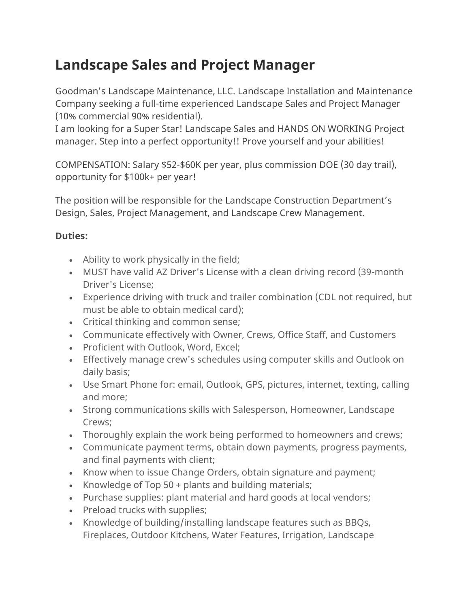## **Landscape Sales and Project Manager**

Goodman's Landscape Maintenance, LLC. Landscape Installation and Maintenance Company seeking a full-time experienced Landscape Sales and Project Manager (10% commercial 90% residential).

I am looking for a Super Star! Landscape Sales and HANDS ON WORKING Project manager. Step into a perfect opportunity!! Prove yourself and your abilities!

COMPENSATION: Salary \$52-\$60K per year, plus commission DOE (30 day trail), opportunity for \$100k+ per year!

The position will be responsible for the Landscape Construction Department's Design, Sales, Project Management, and Landscape Crew Management.

## **Duties:**

- Ability to work physically in the field;
- MUST have valid AZ Driver's License with a clean driving record (39-month Driver's License;
- Experience driving with truck and trailer combination (CDL not required, but must be able to obtain medical card);
- Critical thinking and common sense;
- Communicate effectively with Owner, Crews, Office Staff, and Customers
- Proficient with Outlook, Word, Excel;
- Effectively manage crew's schedules using computer skills and Outlook on daily basis;
- Use Smart Phone for: email, Outlook, GPS, pictures, internet, texting, calling and more;
- Strong communications skills with Salesperson, Homeowner, Landscape Crews;
- Thoroughly explain the work being performed to homeowners and crews;
- Communicate payment terms, obtain down payments, progress payments, and final payments with client;
- Know when to issue Change Orders, obtain signature and payment;
- Knowledge of Top 50 + plants and building materials;
- Purchase supplies: plant material and hard goods at local vendors;
- Preload trucks with supplies;
- Knowledge of building/installing landscape features such as BBQs, Fireplaces, Outdoor Kitchens, Water Features, Irrigation, Landscape